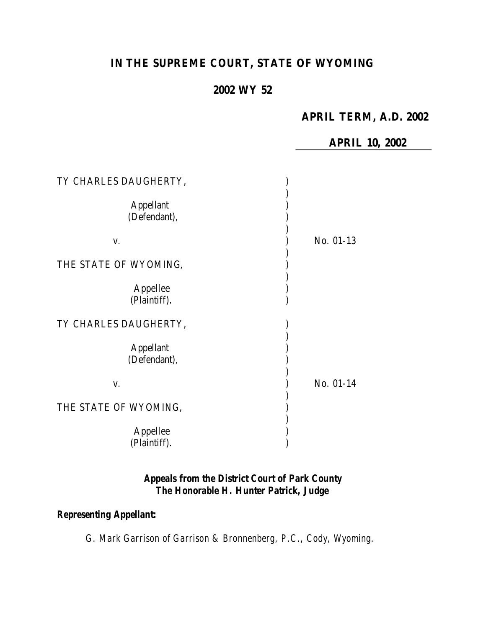# **IN THE SUPREME COURT, STATE OF WYOMING**

# **2002 WY 52**

### **APRIL TERM, A.D. 2002**

**APRIL 10, 2002**

| TY CHARLES DAUGHERTY,            |           |
|----------------------------------|-----------|
| <b>Appellant</b><br>(Defendant), |           |
| V.                               | No. 01-13 |
| THE STATE OF WYOMING,            |           |
| Appellee<br>(Plaintiff).         |           |
| TY CHARLES DAUGHERTY,            |           |
| <b>Appellant</b><br>(Defendant), |           |
| V.                               | No. 01-14 |
| THE STATE OF WYOMING,            |           |
| Appellee<br>(Plaintiff).         |           |

# *Appeals from the District Court of Park County The Honorable H. Hunter Patrick, Judge*

### *Representing Appellant:*

*G. Mark Garrison of Garrison & Bronnenberg, P.C., Cody, Wyoming.*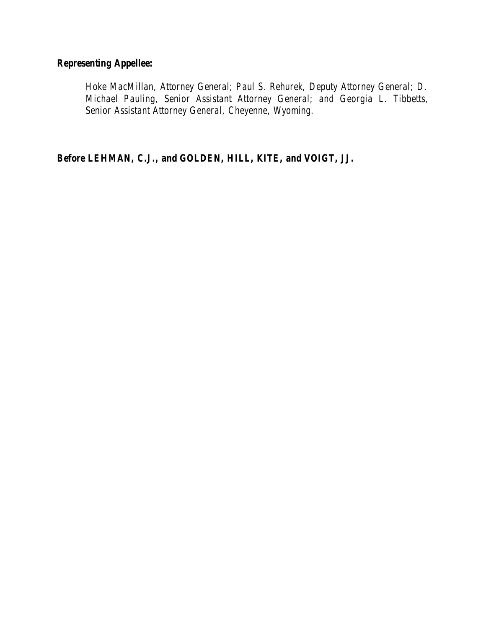# *Representing Appellee:*

*Hoke MacMillan, Attorney General; Paul S. Rehurek, Deputy Attorney General; D. Michael Pauling, Senior Assistant Attorney General; and Georgia L. Tibbetts, Senior Assistant Attorney General, Cheyenne, Wyoming.*

*Before LEHMAN, C.J., and GOLDEN, HILL, KITE, and VOIGT, JJ.*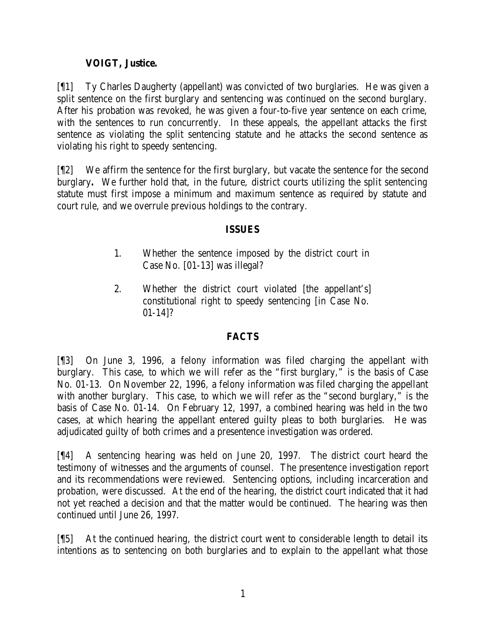### **VOIGT, Justice.**

[¶1] Ty Charles Daugherty (appellant) was convicted of two burglaries. He was given a split sentence on the first burglary and sentencing was continued on the second burglary. After his probation was revoked, he was given a four-to-five year sentence on each crime, with the sentences to run concurrently. In these appeals, the appellant attacks the first sentence as violating the split sentencing statute and he attacks the second sentence as violating his right to speedy sentencing.

[¶2] We affirm the sentence for the first burglary, but vacate the sentence for the second burglary*.* We further hold that, in the future, district courts utilizing the split sentencing statute must first impose a minimum and maximum sentence as required by statute and court rule, and we overrule previous holdings to the contrary*.*

#### **ISSUES**

- 1. Whether the sentence imposed by the district court in Case No. [01-13] was illegal?
- 2. Whether the district court violated [the appellant's] constitutional right to speedy sentencing [in Case No. 01-14]?

### **FACTS**

[¶3] On June 3, 1996, a felony information was filed charging the appellant with burglary. This case, to which we will refer as the "first burglary," is the basis of Case No. 01-13. On November 22, 1996, a felony information was filed charging the appellant with another burglary. This case, to which we will refer as the "second burglary," is the basis of Case No. 01-14. On February 12, 1997, a combined hearing was held in the two cases, at which hearing the appellant entered guilty pleas to both burglaries. He was adjudicated guilty of both crimes and a presentence investigation was ordered.

[¶4] A sentencing hearing was held on June 20, 1997. The district court heard the testimony of witnesses and the arguments of counsel. The presentence investigation report and its recommendations were reviewed. Sentencing options, including incarceration and probation, were discussed. At the end of the hearing, the district court indicated that it had not yet reached a decision and that the matter would be continued. The hearing was then continued until June 26, 1997.

[¶5] At the continued hearing, the district court went to considerable length to detail its intentions as to sentencing on both burglaries and to explain to the appellant what those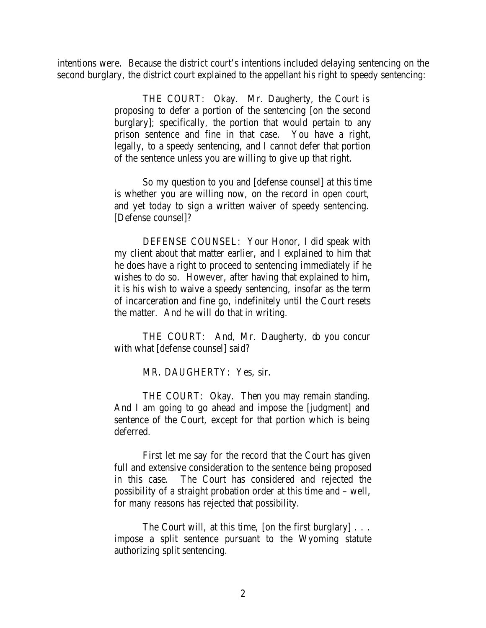intentions were. Because the district court's intentions included delaying sentencing on the second burglary, the district court explained to the appellant his right to speedy sentencing:

> THE COURT: Okay. Mr. Daugherty, the Court is proposing to defer a portion of the sentencing [on the second burglary]; specifically, the portion that would pertain to any prison sentence and fine in that case. You have a right, legally, to a speedy sentencing, and I cannot defer that portion of the sentence unless you are willing to give up that right.

> So my question to you and [defense counsel] at this time is whether you are willing now, on the record in open court, and yet today to sign a written waiver of speedy sentencing. [Defense counsel]?

> DEFENSE COUNSEL: Your Honor, I did speak with my client about that matter earlier, and I explained to him that he does have a right to proceed to sentencing immediately if he wishes to do so. However, after having that explained to him, it is his wish to waive a speedy sentencing, insofar as the term of incarceration and fine go, indefinitely until the Court resets the matter. And he will do that in writing.

> THE COURT: And, Mr. Daugherty, do you concur with what [defense counsel] said?

> > MR. DAUGHERTY: Yes, sir.

THE COURT: Okay. Then you may remain standing. And I am going to go ahead and impose the [judgment] and sentence of the Court, except for that portion which is being deferred.

First let me say for the record that the Court has given full and extensive consideration to the sentence being proposed in this case. The Court has considered and rejected the possibility of a straight probation order at this time and – well, for many reasons has rejected that possibility.

The Court will, at this time, [on the first burglary] . . . impose a split sentence pursuant to the Wyoming statute authorizing split sentencing.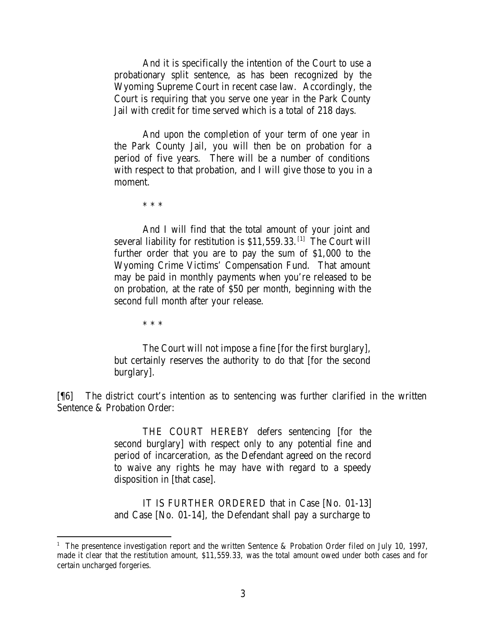And it is specifically the intention of the Court to use a probationary split sentence, as has been recognized by the Wyoming Supreme Court in recent case law. Accordingly, the Court is requiring that you serve one year in the Park County Jail with credit for time served which is a total of 218 days.

And upon the completion of your term of one year in the Park County Jail, you will then be on probation for a period of five years. There will be a number of conditions with respect to that probation, and I will give those to you in a moment.

\* \* \*

And I will find that the total amount of your joint and several liability for restitution is \$11,559.33.<sup>[1]</sup> The Court will further order that you are to pay the sum of \$1,000 to the Wyoming Crime Victims' Compensation Fund. That amount may be paid in monthly payments when you're released to be on probation, at the rate of \$50 per month, beginning with the second full month after your release.

\* \* \*

The Court will not impose a fine [for the first burglary], but certainly reserves the authority to do that [for the second burglary].

[¶6] The district court's intention as to sentencing was further clarified in the written Sentence & Probation Order:

> THE COURT HEREBY defers sentencing [for the second burglary] with respect only to any potential fine and period of incarceration, as the Defendant agreed on the record to waive any rights he may have with regard to a speedy disposition in [that case].

> IT IS FURTHER ORDERED that in Case [No. 01-13] and Case [No. 01-14], the Defendant shall pay a surcharge to

<sup>&</sup>lt;sup>1</sup> The presentence investigation report and the written Sentence & Probation Order filed on July 10, 1997, made it clear that the restitution amount, \$11,559.33, was the total amount owed under both cases and for certain uncharged forgeries.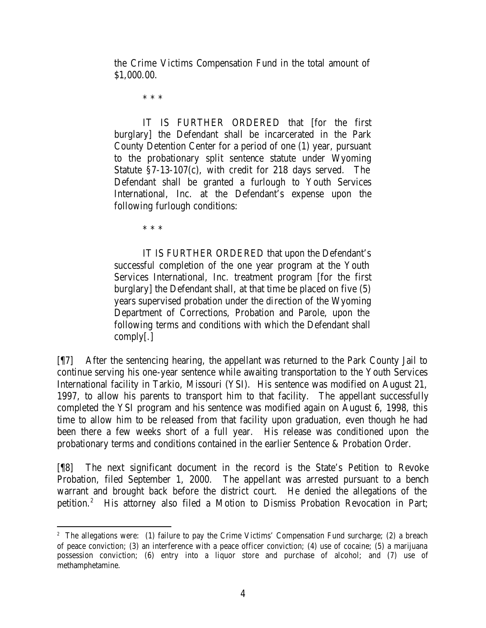the Crime Victims Compensation Fund in the total amount of \$1,000.00.

\* \* \*

IT IS FURTHER ORDERED that [for the first burglary] the Defendant shall be incarcerated in the Park County Detention Center for a period of one (1) year, pursuant to the probationary split sentence statute under Wyoming Statute §7-13-107(c), with credit for 218 days served. The Defendant shall be granted a furlough to Youth Services International, Inc. at the Defendant's expense upon the following furlough conditions:

\* \* \*

IT IS FURTHER ORDERED that upon the Defendant's successful completion of the one year program at the Youth Services International, Inc. treatment program [for the first burglary] the Defendant shall, at that time be placed on five (5) years supervised probation under the direction of the Wyoming Department of Corrections, Probation and Parole, upon the following terms and conditions with which the Defendant shall comply[.]

[¶7] After the sentencing hearing, the appellant was returned to the Park County Jail to continue serving his one-year sentence while awaiting transportation to the Youth Services International facility in Tarkio, Missouri (YSI). His sentence was modified on August 21, 1997, to allow his parents to transport him to that facility. The appellant successfully completed the YSI program and his sentence was modified again on August 6, 1998, this time to allow him to be released from that facility upon graduation, even though he had been there a few weeks short of a full year. His release was conditioned upon the probationary terms and conditions contained in the earlier Sentence & Probation Order.

[¶8] The next significant document in the record is the State's Petition to Revoke Probation, filed September 1, 2000. The appellant was arrested pursuant to a bench warrant and brought back before the district court. He denied the allegations of the petition.<sup>2</sup> His attorney also filed a Motion to Dismiss Probation Revocation in Part;

 <sup>2</sup> The allegations were: (1) failure to pay the Crime Victims' Compensation Fund surcharge; (2) a breach of peace conviction; (3) an interference with a peace officer conviction; (4) use of cocaine; (5) a marijuana possession conviction; (6) entry into a liquor store and purchase of alcohol; and (7) use of methamphetamine.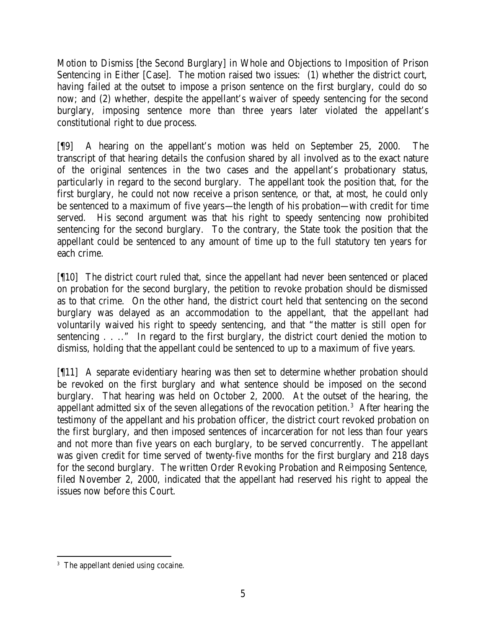Motion to Dismiss [the Second Burglary] in Whole and Objections to Imposition of Prison Sentencing in Either [Case]. The motion raised two issues: (1) whether the district court, having failed at the outset to impose a prison sentence on the first burglary, could do so now; and (2) whether, despite the appellant's waiver of speedy sentencing for the second burglary, imposing sentence more than three years later violated the appellant's constitutional right to due process.

[¶9] A hearing on the appellant's motion was held on September 25, 2000. The transcript of that hearing details the confusion shared by all involved as to the exact nature of the original sentences in the two cases and the appellant's probationary status, particularly in regard to the second burglary. The appellant took the position that, for the first burglary, he could not now receive a prison sentence, or that, at most, he could only be sentenced to a maximum of five years—the length of his probation—with credit for time served. His second argument was that his right to speedy sentencing now prohibited sentencing for the second burglary. To the contrary, the State took the position that the appellant could be sentenced to any amount of time up to the full statutory ten years for each crime.

[¶10] The district court ruled that, since the appellant had never been sentenced or placed on probation for the second burglary, the petition to revoke probation should be dismissed as to that crime. On the other hand, the district court held that sentencing on the second burglary was delayed as an accommodation to the appellant, that the appellant had voluntarily waived his right to speedy sentencing, and that "the matter is still open for sentencing . . .." In regard to the first burglary, the district court denied the motion to dismiss, holding that the appellant could be sentenced to up to a maximum of five years.

[¶11] A separate evidentiary hearing was then set to determine whether probation should be revoked on the first burglary and what sentence should be imposed on the second burglary. That hearing was held on October 2, 2000. At the outset of the hearing, the appellant admitted six of the seven allegations of the revocation petition.<sup>3</sup> After hearing the testimony of the appellant and his probation officer, the district court revoked probation on the first burglary, and then imposed sentences of incarceration for not less than four years and not more than five years on each burglary, to be served concurrently. The appellant was given credit for time served of twenty-five months for the first burglary and 218 days for the second burglary. The written Order Revoking Probation and Reimposing Sentence, filed November 2, 2000, indicated that the appellant had reserved his right to appeal the issues now before this Court.

<sup>&</sup>lt;sup>3</sup> The appellant denied using cocaine.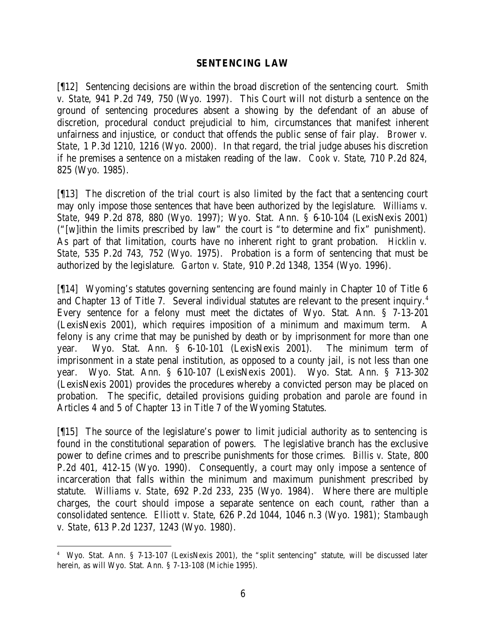#### **SENTENCING LAW**

[¶12] Sentencing decisions are within the broad discretion of the sentencing court. *Smith v. State*, 941 P.2d 749, 750 (Wyo. 1997). This Court will not disturb a sentence on the ground of sentencing procedures absent a showing by the defendant of an abuse of discretion, procedural conduct prejudicial to him, circumstances that manifest inherent unfairness and injustice, or conduct that offends the public sense of fair play. *Brower v. State*, 1 P.3d 1210, 1216 (Wyo. 2000). In that regard, the trial judge abuses his discretion if he premises a sentence on a mistaken reading of the law. *Cook v. State*, 710 P.2d 824, 825 (Wyo. 1985).

[¶13] The discretion of the trial court is also limited by the fact that a sentencing court may only impose those sentences that have been authorized by the legislature. *Williams v. State*, 949 P.2d 878, 880 (Wyo. 1997); Wyo. Stat. Ann. § 6-10-104 (LexisNexis 2001) ("[w]ithin the limits prescribed by law" the court is "to determine and fix" punishment). As part of that limitation, courts have no inherent right to grant probation. *Hicklin v. State*, 535 P.2d 743, 752 (Wyo. 1975). Probation is a form of sentencing that must be authorized by the legislature. *Garton v. State*, 910 P.2d 1348, 1354 (Wyo. 1996).

[¶14] Wyoming's statutes governing sentencing are found mainly in Chapter 10 of Title 6 and Chapter 13 of Title 7. Several individual statutes are relevant to the present inquiry.<sup>4</sup> Every sentence for a felony must meet the dictates of Wyo. Stat. Ann. § 7-13-201 (LexisNexis 2001), which requires imposition of a minimum and maximum term. A felony is any crime that may be punished by death or by imprisonment for more than one year. Wyo. Stat. Ann. § 6-10-101 (LexisNexis 2001). The minimum term of imprisonment in a state penal institution, as opposed to a county jail, is not less than one year. Wyo. Stat. Ann. § 610-107 (LexisNexis 2001). Wyo. Stat. Ann. § 713-302 (LexisNexis 2001) provides the procedures whereby a convicted person may be placed on probation. The specific, detailed provisions guiding probation and parole are found in Articles 4 and 5 of Chapter 13 in Title 7 of the Wyoming Statutes.

[¶15] The source of the legislature's power to limit judicial authority as to sentencing is found in the constitutional separation of powers. The legislative branch has the exclusive power to define crimes and to prescribe punishments for those crimes. *Billis v. State*, 800 P.2d 401, 412-15 (Wyo. 1990). Consequently, a court may only impose a sentence of incarceration that falls within the minimum and maximum punishment prescribed by statute. *Williams v. State*, 692 P.2d 233, 235 (Wyo. 1984). Where there are multiple charges, the court should impose a separate sentence on each count, rather than a consolidated sentence. *Elliott v. State*, 626 P.2d 1044, 1046 n.3 (Wyo. 1981); *Stambaugh v. State*, 613 P.2d 1237, 1243 (Wyo. 1980).

<sup>4</sup> Wyo. Stat. Ann. § 7-13-107 (LexisNexis 2001), the "split sentencing" statute, will be discussed later herein, as will Wyo. Stat. Ann. § 7-13-108 (Michie 1995).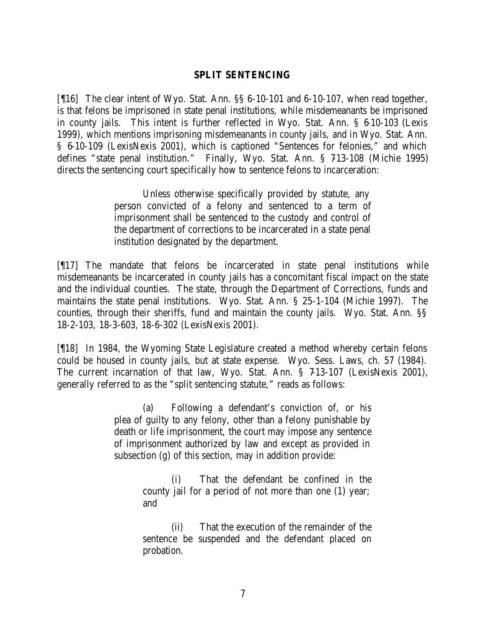#### **SPLIT SENTENCING**

[¶16] The clear intent of Wyo. Stat. Ann. §§ 6-10-101 and 6-10-107, when read together, is that felons be imprisoned in state penal institutions, while misdemeanants be imprisoned in county jails. This intent is further reflected in Wyo. Stat. Ann. § 6-10-103 (Lexis 1999), which mentions imprisoning misdemeanants in county jails, and in Wyo. Stat. Ann. § 6-10-109 (LexisNexis 2001), which is captioned "Sentences for felonies," and which defines "state penal institution." Finally, Wyo. Stat. Ann. § 7-13-108 (Michie 1995) directs the sentencing court specifically how to sentence felons to incarceration:

> Unless otherwise specifically provided by statute, any person convicted of a felony and sentenced to a term of imprisonment shall be sentenced to the custody and control of the department of corrections to be incarcerated in a state penal institution designated by the department.

[¶17] The mandate that felons be incarcerated in state penal institutions while misdemeanants be incarcerated in county jails has a concomitant fiscal impact on the state and the individual counties. The state, through the Department of Corrections, funds and maintains the state penal institutions. Wyo. Stat. Ann. § 25-1-104 (Michie 1997). The counties, through their sheriffs, fund and maintain the county jails. Wyo. Stat. Ann. §§ 18-2-103, 18-3-603, 18-6-302 (LexisNexis 2001).

[¶18] In 1984, the Wyoming State Legislature created a method whereby certain felons could be housed in county jails, but at state expense. Wyo. Sess. Laws, ch. 57 (1984). The current incarnation of that law, Wyo. Stat. Ann. § 713-107 (LexisNexis 2001), generally referred to as the "split sentencing statute," reads as follows:

> (a) Following a defendant's conviction of, or his plea of guilty to any felony, other than a felony punishable by death or life imprisonment, the court may impose any sentence of imprisonment authorized by law and except as provided in subsection (g) of this section, may in addition provide:

> > (i) That the defendant be confined in the county jail for a period of not more than one (1) year; and

> > (ii) That the execution of the remainder of the sentence be suspended and the defendant placed on probation.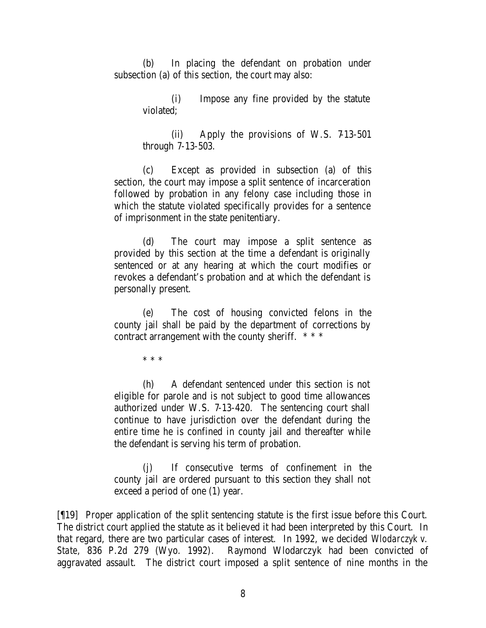(b) In placing the defendant on probation under subsection (a) of this section, the court may also:

> (i) Impose any fine provided by the statute violated;

> (ii) Apply the provisions of W.S. 7-13-501 through 7-13-503.

(c) Except as provided in subsection (a) of this section, the court may impose a split sentence of incarceration followed by probation in any felony case including those in which the statute violated specifically provides for a sentence of imprisonment in the state penitentiary.

(d) The court may impose a split sentence as provided by this section at the time a defendant is originally sentenced or at any hearing at which the court modifies or revokes a defendant's probation and at which the defendant is personally present.

(e) The cost of housing convicted felons in the county jail shall be paid by the department of corrections by contract arrangement with the county sheriff. \* \* \*

\* \* \*

(h) A defendant sentenced under this section is not eligible for parole and is not subject to good time allowances authorized under W.S. 7-13-420. The sentencing court shall continue to have jurisdiction over the defendant during the entire time he is confined in county jail and thereafter while the defendant is serving his term of probation.

(j) If consecutive terms of confinement in the county jail are ordered pursuant to this section they shall not exceed a period of one (1) year.

[¶19] Proper application of the split sentencing statute is the first issue before this Court. The district court applied the statute as it believed it had been interpreted by this Court. In that regard, there are two particular cases of interest. In 1992, we decided *Wlodarczyk v. State*, 836 P.2d 279 (Wyo. 1992). Raymond Wlodarczyk had been convicted of aggravated assault. The district court imposed a split sentence of nine months in the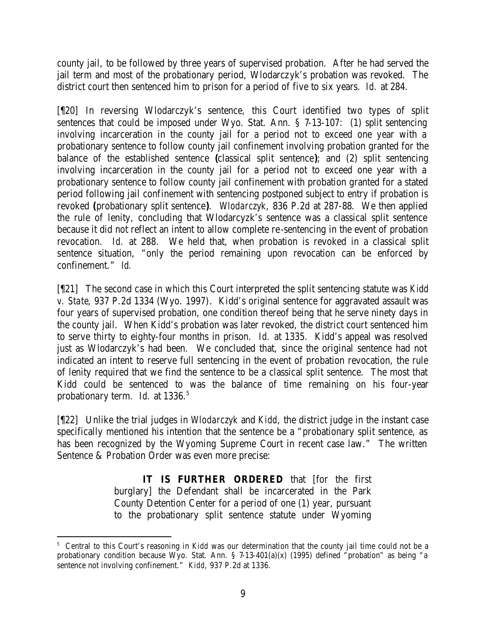county jail, to be followed by three years of supervised probation. After he had served the jail term and most of the probationary period, Wlodarczyk's probation was revoked. The district court then sentenced him to prison for a period of five to six years. *Id.* at 284.

[¶20] In reversing Wlodarczyk's sentence, this Court identified two types of split sentences that could be imposed under Wyo. Stat. Ann. § 7-13-107: (1) split sentencing involving incarceration in the county jail for a period not to exceed one year with a probationary sentence to follow county jail confinement involving probation granted for the balance of the established sentence **(**classical split sentence**)**; and (2) split sentencing involving incarceration in the county jail for a period not to exceed one year with a probationary sentence to follow county jail confinement with probation granted for a stated period following jail confinement with sentencing postponed subject to entry if probation is revoked **(**probationary split sentence**)**. *Wlodarczyk*, 836 P.2d at 287-88. We then applied the rule of lenity, concluding that Wlodarcyzk's sentence was a classical split sentence because it did not reflect an intent to allow complete re -sentencing in the event of probation revocation. *Id.* at 288. We held that, when probation is revoked in a classical split sentence situation, "only the period remaining upon revocation can be enforced by confinement." *Id.*

[¶21] The second case in which this Court interpreted the split sentencing statute was *Kidd v. State*, 937 P.2d 1334 (Wyo. 1997). Kidd's original sentence for aggravated assault was four years of supervised probation, one condition thereof being that he serve ninety days in the county jail. When Kidd's probation was later revoked, the district court sentenced him to serve thirty to eighty-four months in prison. *Id.* at 1335. Kidd's appeal was resolved just as Wlodarczyk's had been. We concluded that, since the original sentence had not indicated an intent to reserve full sentencing in the event of probation revocation, the rule of lenity required that we find the sentence to be a classical split sentence. The most that Kidd could be sentenced to was the balance of time remaining on his four-year probationary term. *Id.* at 1336.<sup>5</sup>

[¶22] Unlike the trial judges in *Wlodarczyk* and *Kidd*, the district judge in the instant case specifically mentioned his intention that the sentence be a "probationary split sentence, as has been recognized by the Wyoming Supreme Court in recent case law." The written Sentence & Probation Order was even more precise:

> **IT IS FURTHER ORDERED** that [for the first burglary] the Defendant shall be incarcerated in the Park County Detention Center for a period of one (1) year, pursuant to the probationary split sentence statute under Wyoming

<sup>&</sup>lt;sup>5</sup> Central to this Court's reasoning in *Kidd* was our determination that the county jail time could not be a probationary condition because Wyo. Stat. Ann. § 7-13-401(a)(x) (1995) defined "probation" as being "a sentence not involving confinement." *Kidd*, 937 P.2d at 1336.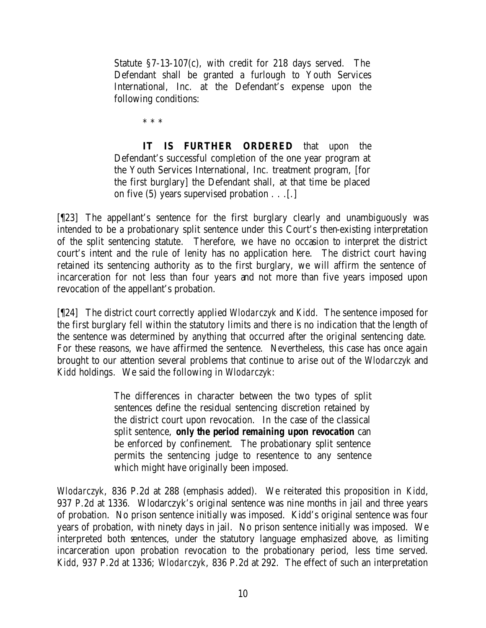Statute §7-13-107(c), with credit for 218 days served. The Defendant shall be granted a furlough to Youth Services International, Inc. at the Defendant's expense upon the following conditions:

\* \* \*

**IT IS FURTHER ORDERED** that upon the Defendant's successful completion of the one year program at the Youth Services International, Inc. treatment program, [for the first burglary] the Defendant shall, at that time be placed on five (5) years supervised probation . . .[.]

[¶23] The appellant's sentence for the first burglary clearly and unambiguously was intended to be a probationary split sentence under this Court's then-existing interpretation of the split sentencing statute*.* Therefore, we have no occasion to interpret the district court's intent and the rule of lenity has no application here. The district court having retained its sentencing authority as to the first burglary, we will affirm the sentence of incarceration for not less than four years and not more than five years imposed upon revocation of the appellant's probation.

[¶24] The district court correctly applied *Wlodarczyk* and *Kidd*. The sentence imposed for the first burglary fell within the statutory limits and there is no indication that the length of the sentence was determined by anything that occurred after the original sentencing date. For these reasons, we have affirmed the sentence. Nevertheless, this case has once again brought to our attention several problems that continue to arise out of the *Wlodarczyk* and *Kidd* holdings*.* We said the following in *Wlodarczyk*:

> The differences in character between the two types of split sentences define the residual sentencing discretion retained by the district court upon revocation. In the case of the classical split sentence, *only the period remaining upon revocation* can be enforced by confinement. The probationary split sentence permits the sentencing judge to resentence to any sentence which might have originally been imposed.

*Wlodarczyk*, 836 P.2d at 288 (emphasis added). We reiterated this proposition in *Kidd*, 937 P.2d at 1336. Wlodarczyk's original sentence was nine months in jail and three years of probation. No prison sentence initially was imposed. Kidd's original sentence was four years of probation, with ninety days in jail. No prison sentence initially was imposed. We interpreted both sentences, under the statutory language emphasized above, as limiting incarceration upon probation revocation to the probationary period, less time served. *Kidd*, 937 P.2d at 1336; *Wlodarczyk*, 836 P.2d at 292. The effect of such an interpretation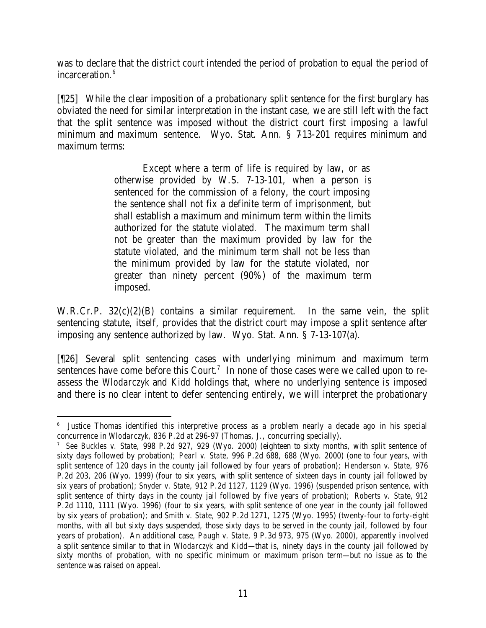was to declare that the district court intended the period of probation to equal the period of incarceration.<sup>6</sup>

[¶25] While the clear imposition of a probationary split sentence for the first burglary has obviated the need for similar interpretation in the instant case, we are still left with the fact that the split sentence was imposed without the district court first imposing a lawful minimum and maximum sentence. Wyo. Stat. Ann. § 7-13-201 requires minimum and maximum terms:

> Except where a term of life is required by law, or as otherwise provided by W.S. 7-13-101, when a person is sentenced for the commission of a felony, the court imposing the sentence shall not fix a definite term of imprisonment, but shall establish a maximum and minimum term within the limits authorized for the statute violated. The maximum term shall not be greater than the maximum provided by law for the statute violated, and the minimum term shall not be less than the minimum provided by law for the statute violated, nor greater than ninety percent (90%) of the maximum term imposed.

W.R.Cr.P.  $32(c)(2)(B)$  contains a similar requirement. In the same vein, the split sentencing statute, itself, provides that the district court may impose a split sentence after imposing any sentence authorized by law. Wyo. Stat. Ann. § 7-13-107(a).

[¶26] Several split sentencing cases with underlying minimum and maximum term sentences have come before this Court.<sup>7</sup> In none of those cases were we called upon to reassess the *Wlodarczyk* and *Kidd* holdings that, where no underlying sentence is imposed and there is no clear intent to defer sentencing entirely, we will interpret the probationary

 6 Justice Thomas identified this interpretive process as a problem nearly a decade ago in his special concurrence in *Wlodarczyk,* 836 P.2d at 296-97 (Thomas, J., concurring specially).

<sup>7</sup> *See Buckles v. State*, 998 P.2d 927, 929 (Wyo. 2000) (eighteen to sixty months, with split sentence of sixty days followed by probation); *Pearl v. State*, 996 P.2d 688, 688 (Wyo. 2000) (one to four years, with split sentence of 120 days in the county jail followed by four years of probation); *Henderson v. State*, 976 P.2d 203, 206 (Wyo. 1999) (four to six years, with split sentence of sixteen days in county jail followed by six years of probation); *Snyder v. State*, 912 P.2d 1127, 1129 (Wyo. 1996) (suspended prison sentence, with split sentence of thirty days in the county jail followed by five years of probation); *Roberts v. State*, 912 P.2d 1110, 1111 (Wyo. 1996) (four to six years, with split sentence of one year in the county jail followed by six years of probation); and *Smith v. State*, 902 P.2d 1271, 1275 (Wyo. 1995) (twenty-four to forty-eight months, with all but sixty days suspended, those sixty days to be served in the county jail, followed by four years of probation). An additional case, *Paugh v. State*, 9 P.3d 973, 975 (Wyo. 2000), apparently involved a split sentence similar to that in *Wlodarczyk* and *Kidd*—that is, ninety days in the county jail followed by sixty months of probation, with no specific minimum or maximum prison term—but no issue as to the sentence was raised on appeal.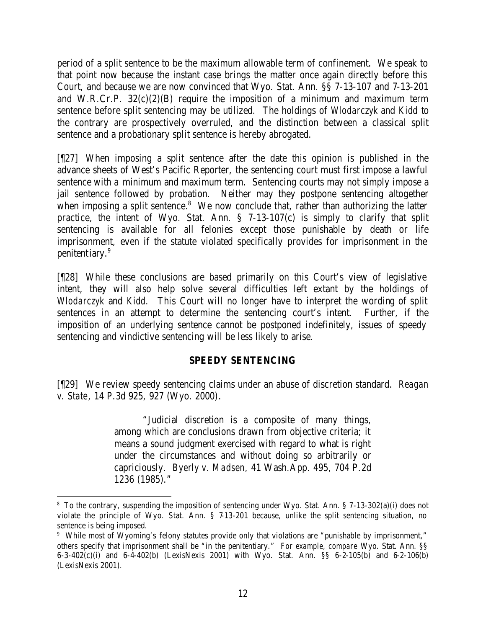period of a split sentence to be the maximum allowable term of confinement. We speak to that point now because the instant case brings the matter once again directly before this Court, and because we are now convinced that Wyo. Stat. Ann. §§ 7-13-107 and 7-13-201 and W.R.Cr.P.  $32(c)(2)(B)$  require the imposition of a minimum and maximum term sentence before split sentencing may be utilized. The holdings of *Wlodarczyk* and *Kidd* to the contrary are prospectively overruled, and the distinction between a classical split sentence and a probationary split sentence is hereby abrogated.

[¶27] When imposing a split sentence after the date this opinion is published in the advance sheets of West's Pacific Reporter, the sentencing court must first impose a lawful sentence with a minimum and maximum term. Sentencing courts may not simply impose a jail sentence followed by probation. Neither may they postpone sentencing altogether when imposing a split sentence.<sup>8</sup> We now conclude that, rather than authorizing the latter practice, the intent of Wyo. Stat. Ann. § 7-13-107(c) is simply to clarify that split sentencing is available for all felonies except those punishable by death or life imprisonment, even if the statute violated specifically provides for imprisonment in the penitentiary.<sup>9</sup>

[¶28] While these conclusions are based primarily on this Court's view of legislative intent, they will also help solve several difficulties left extant by the holdings of *Wlodarczyk* and *Kidd.* This Court will no longer have to interpret the wording of split sentences in an attempt to determine the sentencing court's intent. Further, if the imposition of an underlying sentence cannot be postponed indefinitely, issues of speedy sentencing and vindictive sentencing will be less likely to arise.

### **SPEEDY SENTENCING**

[¶29] We review speedy sentencing claims under an abuse of discretion standard. *Reagan v. State*, 14 P.3d 925, 927 (Wyo. 2000).

> "Judicial discretion is a composite of many things, among which are conclusions drawn from objective criteria; it means a sound judgment exercised with regard to what is right under the circumstances and without doing so arbitrarily or capriciously. *Byerly v. Madsen,* 41 Wash.App. 495, 704 P.2d 1236 (1985)."

<sup>&</sup>lt;sup>8</sup> To the contrary, suspending the imposition of sentencing under Wyo. Stat. Ann. § 7-13-302(a)(i) does not violate the principle of Wyo. Stat. Ann. § 7-13-201 because, unlike the split sentencing situation, no sentence is being imposed.

<sup>9</sup> While most of Wyoming's felony statutes provide only that violations are "punishable by imprisonment," others specify that imprisonment shall be "in the penitentiary." *For example, compare* Wyo. Stat. Ann. §§ 6-3-402(c)(i) and 6-4-402(b) (LexisNexis 2001) with Wyo. Stat. Ann. §§ 6-2-105(b) and 6-2-106(b) (LexisNexis 2001).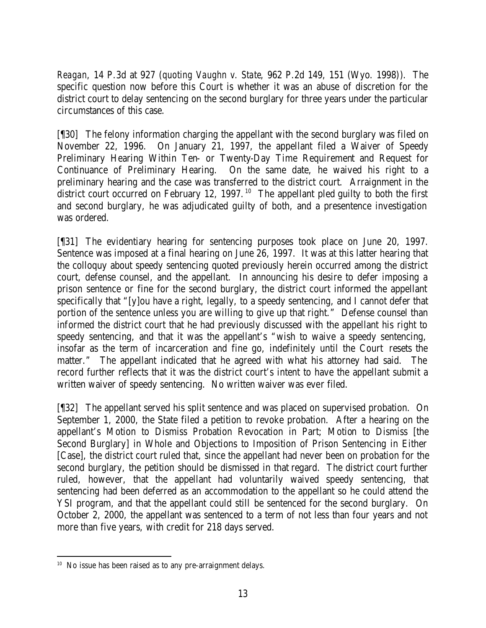*Reagan*, 14 P.3d at 927 (*quoting Vaughn v. State*, 962 P.2d 149, 151 (Wyo. 1998)). The specific question now before this Court is whether it was an abuse of discretion for the district court to delay sentencing on the second burglary for three years under the particular circumstances of this case.

[¶30] The felony information charging the appellant with the second burglary was filed on November 22, 1996. On January 21, 1997, the appellant filed a Waiver of Speedy Preliminary Hearing Within Ten- or Twenty-Day Time Requirement and Request for Continuance of Preliminary Hearing. On the same date, he waived his right to a preliminary hearing and the case was transferred to the district court. Arraignment in the district court occurred on February 12, 1997.<sup>10</sup> The appellant pled guilty to both the first and second burglary, he was adjudicated guilty of both, and a presentence investigation was ordered.

[¶31] The evidentiary hearing for sentencing purposes took place on June 20, 1997. Sentence was imposed at a final hearing on June 26, 1997. It was at this latter hearing that the colloquy about speedy sentencing quoted previously herein occurred among the district court, defense counsel, and the appellant. In announcing his desire to defer imposing a prison sentence or fine for the second burglary, the district court informed the appellant specifically that "[y]ou have a right, legally, to a speedy sentencing, and I cannot defer that portion of the sentence unless you are willing to give up that right." Defense counsel than informed the district court that he had previously discussed with the appellant his right to speedy sentencing, and that it was the appellant's "wish to waive a speedy sentencing, insofar as the term of incarceration and fine go, indefinitely until the Court resets the matter." The appellant indicated that he agreed with what his attorney had said. The record further reflects that it was the district court's intent to have the appellant submit a written waiver of speedy sentencing. No written waiver was ever filed.

[¶32] The appellant served his split sentence and was placed on supervised probation. On September 1, 2000, the State filed a petition to revoke probation. After a hearing on the appellant's Motion to Dismiss Probation Revocation in Part; Motion to Dismiss [the Second Burglary] in Whole and Objections to Imposition of Prison Sentencing in Either [Case], the district court ruled that, since the appellant had never been on probation for the second burglary, the petition should be dismissed in that regard. The district court further ruled, however, that the appellant had voluntarily waived speedy sentencing, that sentencing had been deferred as an accommodation to the appellant so he could attend the YSI program, and that the appellant could still be sentenced for the second burglary. On October 2, 2000, the appellant was sentenced to a term of not less than four years and not more than five years, with credit for 218 days served.

<sup>&</sup>lt;sup>10</sup> No issue has been raised as to any pre-arraignment delays.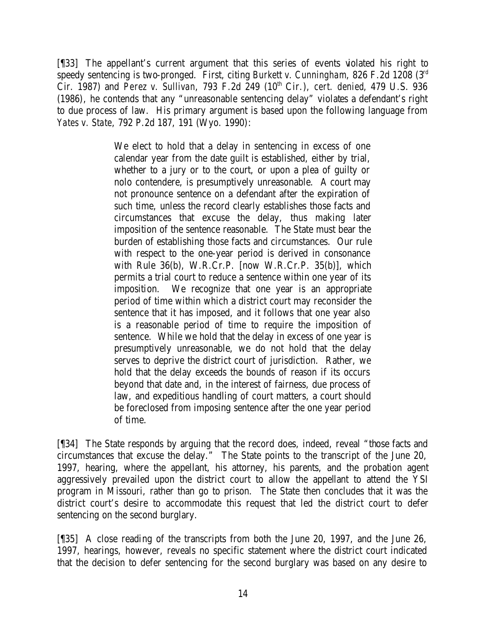[¶33] The appellant's current argument that this series of events violated his right to speedy sentencing is two-pronged. First, citing *Burkett v. Cunningham*, 826 F.2d 1208 (3<sup>rd</sup>) Cir. 1987) and *Perez v. Sullivan*, 793 F.2d 249 (10<sup>th</sup> Cir.), *cert. denied*, 479 U.S. 936 (1986), he contends that any "unreasonable sentencing delay" violates a defendant's right to due process of law. His primary argument is based upon the following language from *Yates v. State*, 792 P.2d 187, 191 (Wyo. 1990):

> We elect to hold that a delay in sentencing in excess of one calendar year from the date guilt is established, either by trial, whether to a jury or to the court, or upon a plea of guilty or nolo contendere, is presumptively unreasonable. A court may not pronounce sentence on a defendant after the expiration of such time, unless the record clearly establishes those facts and circumstances that excuse the delay, thus making later imposition of the sentence reasonable. The State must bear the burden of establishing those facts and circumstances. Our rule with respect to the one-year period is derived in consonance with Rule 36(b), W.R.Cr.P. [now W.R.Cr.P. 35(b)], which permits a trial court to reduce a sentence within one year of its imposition. We recognize that one year is an appropriate period of time within which a district court may reconsider the sentence that it has imposed, and it follows that one year also is a reasonable period of time to require the imposition of sentence. While we hold that the delay in excess of one year is presumptively unreasonable, we do not hold that the delay serves to deprive the district court of jurisdiction. Rather, we hold that the delay exceeds the bounds of reason if its occurs beyond that date and, in the interest of fairness, due process of law, and expeditious handling of court matters, a court should be foreclosed from imposing sentence after the one year period of time.

[¶34] The State responds by arguing that the record does, indeed, reveal "those facts and circumstances that excuse the delay." The State points to the transcript of the June 20, 1997, hearing, where the appellant, his attorney, his parents, and the probation agent aggressively prevailed upon the district court to allow the appellant to attend the YSI program in Missouri, rather than go to prison. The State then concludes that it was the district court's desire to accommodate this request that led the district court to defer sentencing on the second burglary.

[¶35] A close reading of the transcripts from both the June 20, 1997, and the June 26, 1997, hearings, however, reveals no specific statement where the district court indicated that the decision to defer sentencing for the second burglary was based on any desire to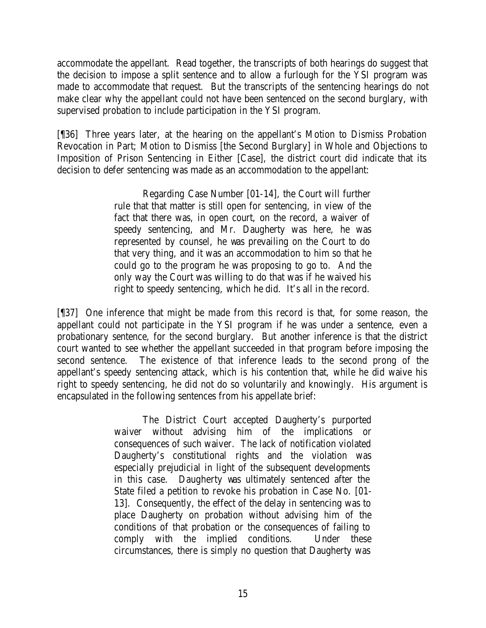accommodate the appellant. Read together, the transcripts of both hearings do suggest that the decision to impose a split sentence and to allow a furlough for the YSI program was made to accommodate that request. But the transcripts of the sentencing hearings do not make clear why the appellant could not have been sentenced on the second burglary, with supervised probation to include participation in the YSI program.

[¶36] Three years later, at the hearing on the appellant's Motion to Dismiss Probation Revocation in Part; Motion to Dismiss [the Second Burglary] in Whole and Objections to Imposition of Prison Sentencing in Either [Case], the district court did indicate that its decision to defer sentencing was made as an accommodation to the appellant:

> Regarding Case Number [01-14], the Court will further rule that that matter is still open for sentencing, in view of the fact that there was, in open court, on the record, a waiver of speedy sentencing, and Mr. Daugherty was here, he was represented by counsel, he was prevailing on the Court to do that very thing, and it was an accommodation to him so that he could go to the program he was proposing to go to. And the only way the Court was willing to do that was if he waived his right to speedy sentencing, which he did. It's all in the record.

[¶37] One inference that might be made from this record is that, for some reason, the appellant could not participate in the YSI program if he was under a sentence, even a probationary sentence, for the second burglary. But another inference is that the district court wanted to see whether the appellant succeeded in that program before imposing the second sentence. The existence of that inference leads to the second prong of the appellant's speedy sentencing attack, which is his contention that, while he did waive his right to speedy sentencing, he did not do so voluntarily and knowingly. His argument is encapsulated in the following sentences from his appellate brief:

> The District Court accepted Daugherty's purported waiver without advising him of the implications or consequences of such waiver. The lack of notification violated Daugherty's constitutional rights and the violation was especially prejudicial in light of the subsequent developments in this case. Daugherty was ultimately sentenced after the State filed a petition to revoke his probation in Case No. [01- 13]. Consequently, the effect of the delay in sentencing was to place Daugherty on probation without advising him of the conditions of that probation or the consequences of failing to comply with the implied conditions. Under these circumstances, there is simply no question that Daugherty was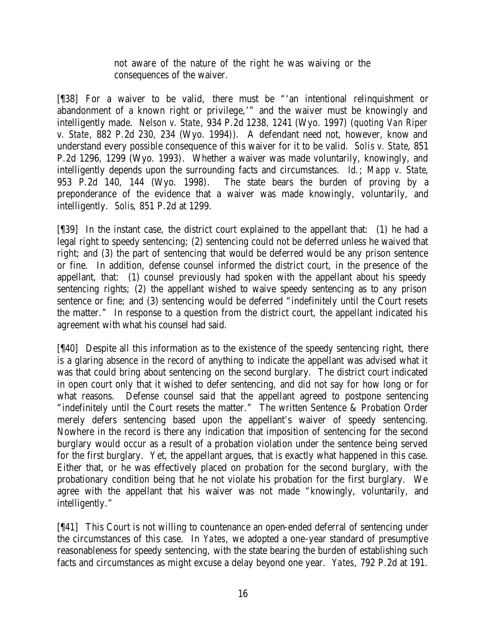not aware of the nature of the right he was waiving or the consequences of the waiver.

[¶38] For a waiver to be valid, there must be "'an intentional relinquishment or abandonment of a known right or privilege,'" and the waiver must be knowingly and intelligently made. *Nelson v. State*, 934 P.2d 1238, 1241 (Wyo. 1997) (*quoting Van Riper v. State*, 882 P.2d 230, 234 (Wyo. 1994)). A defendant need not, however, know and understand every possible consequence of this waiver for it to be valid. *Solis v. State*, 851 P.2d 1296, 1299 (Wyo. 1993). Whether a waiver was made voluntarily, knowingly, and intelligently depends upon the surrounding facts and circumstances. *Id.*; *Mapp v. State*, 953 P.2d 140, 144 (Wyo. 1998). The state bears the burden of proving by a preponderance of the evidence that a waiver was made knowingly, voluntarily, and intelligently. *Solis*, 851 P.2d at 1299.

[¶39] In the instant case, the district court explained to the appellant that: (1) he had a legal right to speedy sentencing; (2) sentencing could not be deferred unless he waived that right; and (3) the part of sentencing that would be deferred would be any prison sentence or fine. In addition, defense counsel informed the district court, in the presence of the appellant, that: (1) counsel previously had spoken with the appellant about his speedy sentencing rights; (2) the appellant wished to waive speedy sentencing as to any prison sentence or fine; and (3) sentencing would be deferred "indefinitely until the Court resets the matter." In response to a question from the district court, the appellant indicated his agreement with what his counsel had said.

[¶40] Despite all this information as to the existence of the speedy sentencing right, there is a glaring absence in the record of anything to indicate the appellant was advised what it was that could bring about sentencing on the second burglary. The district court indicated in open court only that it wished to defer sentencing, and did not say for how long or for what reasons. Defense counsel said that the appellant agreed to postpone sentencing "indefinitely until the Court resets the matter." The written Sentence & Probation Order merely defers sentencing based upon the appellant's waiver of speedy sentencing. Nowhere in the record is there any indication that imposition of sentencing for the second burglary would occur as a result of a probation violation under the sentence being served for the first burglary. Yet, the appellant argues, that is exactly what happened in this case. Either that, or he was effectively placed on probation for the second burglary, with the probationary condition being that he not violate his probation for the first burglary. We agree with the appellant that his waiver was not made "knowingly, voluntarily, and intelligently."

[¶41] This Court is not willing to countenance an open-ended deferral of sentencing under the circumstances of this case. In *Yates*, we adopted a one-year standard of presumptive reasonableness for speedy sentencing, with the state bearing the burden of establishing such facts and circumstances as might excuse a delay beyond one year. *Yates*, 792 P.2d at 191.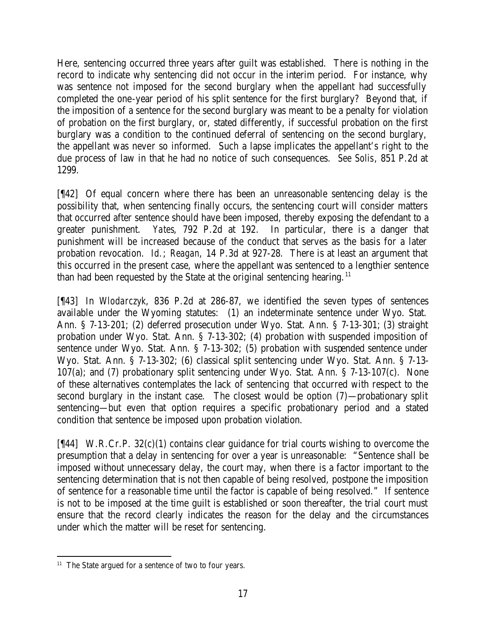Here, sentencing occurred three years after guilt was established. There is nothing in the record to indicate why sentencing did not occur in the interim period. For instance, why was sentence not imposed for the second burglary when the appellant had successfully completed the one-year period of his split sentence for the first burglary? Beyond that, if the imposition of a sentence for the second burglary was meant to be a penalty for violation of probation on the first burglary, or, stated differently, if successful probation on the first burglary was a condition to the continued deferral of sentencing on the second burglary, the appellant was never so informed. Such a lapse implicates the appellant's right to the due process of law in that he had no notice of such consequences. *See Solis*, 851 P.2d at 1299.

[¶42] Of equal concern where there has been an unreasonable sentencing delay is the possibility that, when sentencing finally occurs, the sentencing court will consider matters that occurred after sentence should have been imposed, thereby exposing the defendant to a greater punishment. *Yates*, 792 P.2d at 192. In particular, there is a danger that punishment will be increased because of the conduct that serves as the basis for a later probation revocation. *Id.*; *Reagan*, 14 P.3d at 927-28. There is at least an argument that this occurred in the present case, where the appellant was sentenced to a lengthier sentence than had been requested by the State at the original sentencing hearing.<sup>11</sup>

[¶43] In *Wlodarczyk*, 836 P.2d at 286-87, we identified the seven types of sentences available under the Wyoming statutes: (1) an indeterminate sentence under Wyo. Stat. Ann. § 7-13-201; (2) deferred prosecution under Wyo. Stat. Ann. § 7-13-301; (3) straight probation under Wyo. Stat. Ann. § 7-13-302; (4) probation with suspended imposition of sentence under Wyo. Stat. Ann. § 7-13-302; (5) probation with suspended sentence under Wyo. Stat. Ann. § 7-13-302; (6) classical split sentencing under Wyo. Stat. Ann. § 7-13- 107(a); and (7) probationary split sentencing under Wyo. Stat. Ann. § 7-13-107(c). None of these alternatives contemplates the lack of sentencing that occurred with respect to the second burglary in the instant case. The closest would be option (7)—probationary split sentencing—but even that option requires a specific probationary period and a stated condition that sentence be imposed upon probation violation.

[¶44] W.R.Cr.P. 32(c)(1) contains clear guidance for trial courts wishing to overcome the presumption that a delay in sentencing for over a year is unreasonable: "Sentence shall be imposed without unnecessary delay, the court may, when there is a factor important to the sentencing determination that is not then capable of being resolved, postpone the imposition of sentence for a reasonable time until the factor is capable of being resolved." If sentence is not to be imposed at the time guilt is established or soon thereafter, the trial court must ensure that the record clearly indicates the reason for the delay and the circumstances under which the matter will be reset for sentencing.

<sup>&</sup>lt;sup>11</sup> The State argued for a sentence of two to four years.